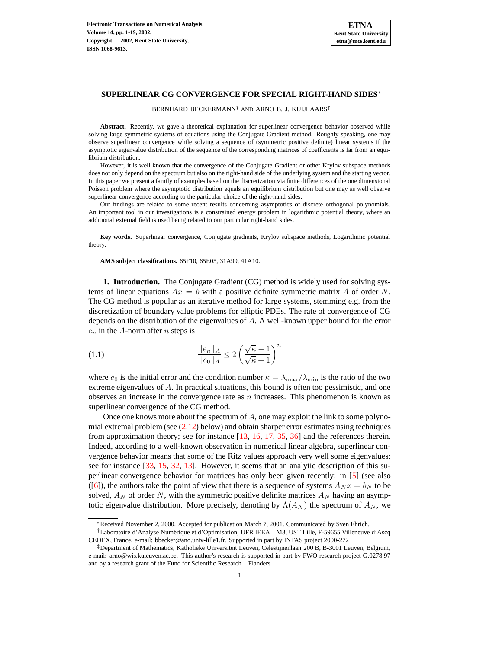

BERNHARD BECKERMANN† AND ARNO B. J. KUIJLAARS‡

**Abstract.** Recently, we gave a theoretical explanation for superlinear convergence behavior observed while solving large symmetric systems of equations using the Conjugate Gradient method. Roughly speaking, one may observe superlinear convergence while solving a sequence of (symmetric positive definite) linear systems if the asymptotic eigenvalue distribution of the sequence of the corresponding matrices of coefficients is far from an equilibrium distribution.

However, it is well known that the convergence of the Conjugate Gradient or other Krylov subspace methods does not only depend on the spectrum but also on the right-hand side of the underlying system and the starting vector. In this paper we present a family of examples based on the discretization via finite differences of the one dimensional Poisson problem where the asymptotic distribution equals an equilibrium distribution but one may as well observe superlinear convergence according to the particular choice of the right-hand sides.

Our findings are related to some recent results concerning asymptotics of discrete orthogonal polynomials. An important tool in our investigations is a constrained energy problem in logarithmic potential theory, where an additional external field is used being related to our particular right-hand sides.

**Key words.** Superlinear convergence, Conjugate gradients, Krylov subspace methods, Logarithmic potential theory.

**AMS subject classifications.** 65F10, 65E05, 31A99, 41A10.

**1. Introduction.** The Conjugate Gradient (CG) method is widely used for solving systems of linear equations  $Ax = b$  with a positive definite symmetric matrix A of order N. The CG method is popular as an iterative method for large systems, stemming e.g. from the discretization of boundary value problems for elliptic PDEs. The rate of convergence of CG depends on the distribution of the eigenvalues of A. A well-known upper bound for the error  $e_n$  in the A-norm after *n* steps is

<span id="page-0-0"></span>(1.1) 
$$
\frac{\|e_n\|_A}{\|e_0\|_A} \le 2\left(\frac{\sqrt{\kappa}-1}{\sqrt{\kappa}+1}\right)^n
$$

where  $e_0$  is the initial error and the condition number  $\kappa = \lambda_{\text{max}}/\lambda_{\text{min}}$  is the ratio of the two extreme eigenvalues of  $A$ . In practical situations, this bound is often too pessimistic, and one observes an increase in the convergence rate as  $n$  increases. This phenomenon is known as superlinear convergence of the CG method.

Once one knows more about the spectrum of  $A$ , one may exploit the link to some polynomial extremal problem (see  $(2.12)$  below) and obtain sharper error estimates using techniques from approximation theory; see for instance [\[13,](#page-18-0) [16,](#page-18-1) [17,](#page-18-2) [35,](#page-18-3) [36\]](#page-18-4) and the references therein. Indeed, according to a well-known observation in numerical linear algebra, superlinear convergence behavior means that some of the Ritz values approach very well some eigenvalues; see for instance [\[33,](#page-18-5) [15,](#page-18-6) [32,](#page-18-7) [13\]](#page-18-0). However, it seems that an analytic description of this superlinear convergence behavior for matrices has only been given recently: in [\[5\]](#page-17-0) (see also ([\[6\]](#page-17-1)), the authors take the point of view that there is a sequence of systems  $A_N x = b_N$  to be solved,  $A_N$  of order N, with the symmetric positive definite matrices  $A_N$  having an asymptotic eigenvalue distribution. More precisely, denoting by  $\Lambda(A_N)$  the spectrum of  $A_N$ , we

<sup>∗</sup>Received November 2, 2000. Accepted for publication March 7, 2001. Communicated by Sven Ehrich.

<sup>&</sup>lt;sup>†</sup>Laboratoire d'Analyse Numérique et d'Optimisation, UFR IEEA – M3, UST Lille, F-59655 Villeneuve d'Ascq CEDEX, France, e-mail: bbecker@ano.univ-lille1.fr. Supported in part by INTAS project 2000-272

<sup>‡</sup>Department of Mathematics, Katholieke Universiteit Leuven, Celestijnenlaan 200 B, B-3001 Leuven, Belgium, e-mail: arno@wis.kuleuven.ac.be. This author's research is supported in part by FWO research project G.0278.97 and by a research grant of the Fund for Scientific Research – Flanders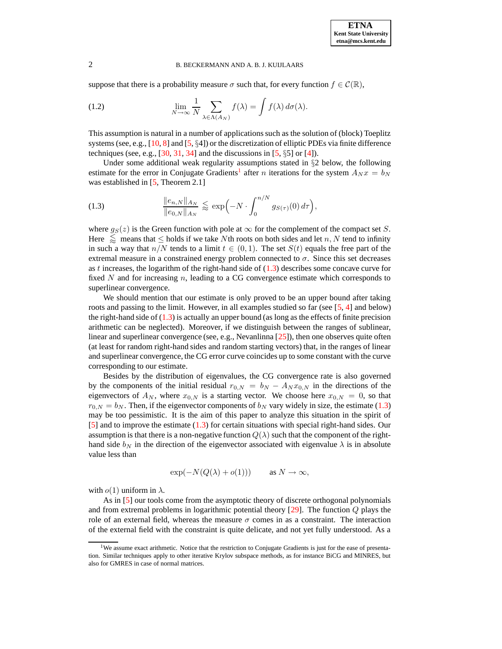<span id="page-1-2"></span>suppose that there is a probability measure  $\sigma$  such that, for every function  $f \in \mathcal{C}(\mathbb{R})$ ,

(1.2) 
$$
\lim_{N \to \infty} \frac{1}{N} \sum_{\lambda \in \Lambda(A_N)} f(\lambda) = \int f(\lambda) d\sigma(\lambda).
$$

This assumption is natural in a number of applications such as the solution of (block) Toeplitz systems (see, e.g.,  $[10, 8]$  $[10, 8]$  $[10, 8]$  and  $[5, \S4]$  $[5, \S4]$ ) or the discretization of elliptic PDEs via finite difference techniques (see, e.g., [\[30,](#page-18-9) [31,](#page-18-10) [34\]](#page-18-11) and the discussions in [\[5,](#page-17-0)  $\S5$ ] or [\[4\]](#page-17-3)).

<span id="page-1-1"></span>Under some additional weak regularity assumptions stated in  $\S$ 2 below, the following estimate for the error in Conjugate Gradients<sup>[1](#page-1-0)</sup> after *n* iterations for the system  $A_N x = b_N$ was established in [\[5,](#page-17-0) Theorem 2.1]

(1.3) 
$$
\frac{\|e_{n,N}\|_{A_N}}{\|e_{0,N}\|_{A_N}} \lesssim \exp\Bigl(-N \cdot \int_0^{n/N} g_{S(\tau)}(0) d\tau\Bigr),
$$

where  $g_S(z)$  is the Green function with pole at  $\infty$  for the complement of the compact set S. Here  $\leq$  means that  $\leq$  holds if we take Nth roots on both sides and let n, N tend to infinity in such a way that  $n/N$  tends to a limit  $t \in (0,1)$ . The set  $S(t)$  equals the free part of the extremal measure in a constrained energy problem connected to  $\sigma$ . Since this set decreases as t increases, the logarithm of the right-hand side of  $(1.3)$  describes some concave curve for fixed  $N$  and for increasing  $n$ , leading to a CG convergence estimate which corresponds to superlinear convergence.

We should mention that our estimate is only proved to be an upper bound after taking roots and passing to the limit. However, in all examples studied so far (see [\[5,](#page-17-0) [4\]](#page-17-3) and below) the right-hand side of  $(1.3)$  is actually an upper bound (as long as the effects of finite precision arithmetic can be neglected). Moreover, if we distinguish between the ranges of sublinear, linear and superlinear convergence (see, e.g., Nevanlinna [\[25\]](#page-18-12)), then one observes quite often (at least for random right-hand sides and random starting vectors) that, in the ranges of linear and superlinear convergence, the CG error curve coincides up to some constant with the curve corresponding to our estimate.

Besides by the distribution of eigenvalues, the CG convergence rate is also governed by the components of the initial residual  $r_{0,N} = b_N - A_N x_{0,N}$  in the directions of the eigenvectors of  $A_N$ , where  $x_{0,N}$  is a starting vector. We choose here  $x_{0,N} = 0$ , so that  $r_{0,N} = b_N$ . Then, if the eigenvector components of  $b_N$  vary widely in size, the estimate [\(1.3\)](#page-1-1) may be too pessimistic. It is the aim of this paper to analyze this situation in the spirit of [\[5\]](#page-17-0) and to improve the estimate [\(1.3\)](#page-1-1) for certain situations with special right-hand sides. Our assumption is that there is a non-negative function  $Q(\lambda)$  such that the component of the righthand side  $b_N$  in the direction of the eigenvector associated with eigenvalue  $\lambda$  is in absolute value less than

$$
\exp(-N(Q(\lambda)+o(1))) \quad \text{as } N \to \infty,
$$

with  $o(1)$  uniform in  $\lambda$ .

As in [\[5\]](#page-17-0) our tools come from the asymptotic theory of discrete orthogonal polynomials and from extremal problems in logarithmic potential theory  $[29]$ . The function  $Q$  plays the role of an external field, whereas the measure  $\sigma$  comes in as a constraint. The interaction of the external field with the constraint is quite delicate, and not yet fully understood. As a

<span id="page-1-0"></span><sup>&</sup>lt;sup>1</sup>We assume exact arithmetic. Notice that the restriction to Conjugate Gradients is just for the ease of presentation. Similar techniques apply to other iterative Krylov subspace methods, as for instance BiCG and MINRES, but also for GMRES in case of normal matrices.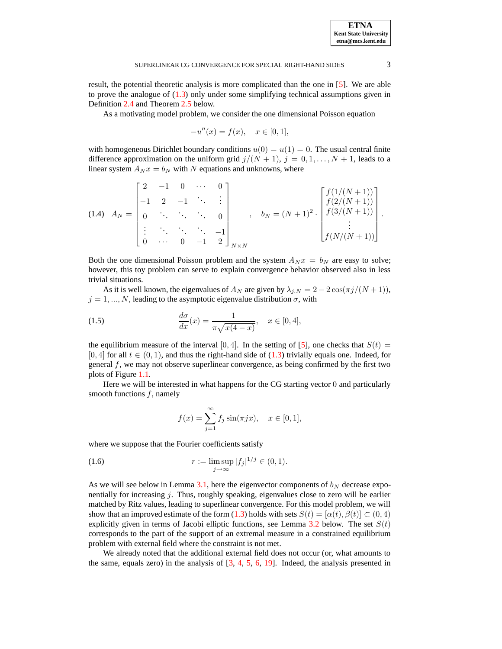result, the potential theoretic analysis is more complicated than the one in [\[5\]](#page-17-0). We are able to prove the analogue of  $(1.3)$  only under some simplifying technical assumptions given in Definition [2.4](#page-8-0) and Theorem [2.5](#page-9-0) below.

As a motivating model problem, we consider the one dimensional Poisson equation

<span id="page-2-0"></span>
$$
-u''(x) = f(x), \quad x \in [0,1],
$$

with homogeneous Dirichlet boundary conditions  $u(0) = u(1) = 0$ . The usual central finite difference approximation on the uniform grid  $j/(N + 1)$ ,  $j = 0, 1, ..., N + 1$ , leads to a linear system  $A_N x = b_N$  with N equations and unknowns, where

$$
(1.4) \quad A_N = \begin{bmatrix} 2 & -1 & 0 & \cdots & 0 \\ -1 & 2 & -1 & \ddots & \vdots \\ 0 & \ddots & \ddots & \ddots & 0 \\ \vdots & \ddots & \ddots & \ddots & -1 \\ 0 & \cdots & 0 & -1 & 2 \end{bmatrix}_{N \times N}, \quad b_N = (N+1)^2 \cdot \begin{bmatrix} f(1/(N+1)) \\ f(2/(N+1)) \\ \vdots \\ f(N/(N+1)) \\ \vdots \\ f(N/(N+1)) \end{bmatrix}.
$$

Both the one dimensional Poisson problem and the system  $A_N x = b_N$  are easy to solve; however, this toy problem can serve to explain convergence behavior observed also in less trivial situations.

As it is well known, the eigenvalues of  $A_N$  are given by  $\lambda_{j,N} = 2 - 2 \cos(\pi j/(N+1)),$  $j = 1, ..., N$ , leading to the asymptotic eigenvalue distribution  $\sigma$ , with

(1.5) 
$$
\frac{d\sigma}{dx}(x) = \frac{1}{\pi\sqrt{x(4-x)}}, \quad x \in [0,4],
$$

the equilibrium measure of the interval [0, 4]. In the setting of [\[5\]](#page-17-0), one checks that  $S(t)$  = [0, 4] for all  $t \in (0, 1)$ , and thus the right-hand side of [\(1.3\)](#page-1-1) trivially equals one. Indeed, for general  $f$ , we may not observe superlinear convergence, as being confirmed by the first two plots of Figure [1.1.](#page-16-0)

Here we will be interested in what happens for the CG starting vector 0 and particularly smooth functions  $f$ , namely

<span id="page-2-1"></span>
$$
f(x) = \sum_{j=1}^{\infty} f_j \sin(\pi jx), \quad x \in [0, 1],
$$

where we suppose that the Fourier coefficients satisfy

(1.6) 
$$
r := \limsup_{j \to \infty} |f_j|^{1/j} \in (0, 1).
$$

As we will see below in Lemma [3.1,](#page-11-0) here the eigenvector components of  $b_N$  decrease exponentially for increasing j. Thus, roughly speaking, eigenvalues close to zero will be earlier matched by Ritz values, leading to superlinear convergence. For this model problem, we will show that an improved estimate of the form [\(1.3\)](#page-1-1) holds with sets  $S(t) = [\alpha(t), \beta(t)] \subset (0, 4)$ explicitly given in terms of Jacobi elliptic functions, see Lemma [3.2](#page-13-0) below. The set  $S(t)$ corresponds to the part of the support of an extremal measure in a constrained equilibrium problem with external field where the constraint is not met.

We already noted that the additional external field does not occur (or, what amounts to the same, equals zero) in the analysis of [\[3,](#page-17-4) [4,](#page-17-3) [5,](#page-17-0) [6,](#page-17-1) [19\]](#page-18-14). Indeed, the analysis presented in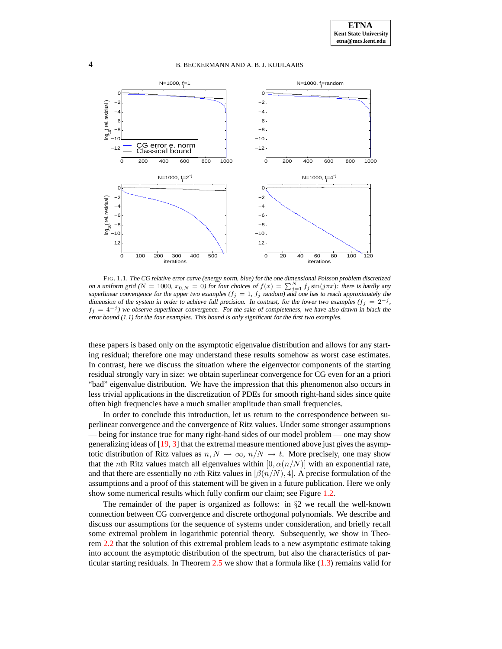

FIG. 1.1. The CG relative error curve (energy norm, blue) for the one dimensional Poisson problem discretized on a uniform grid ( $N = 1000$ ,  $x_{0,N} = 0$ ) for four choices of  $f(x) = \sum_{j=1}^{N} f_j \sin(j\pi x)$ : there is hardly any superlinear convergence for the upper two examples  $(f_j = 1, f_j \text{ random})$  and one has to reach approximately the dimension of the system in order to achieve full precision. In contrast, for the lower two examples  $(f_j = 2^{-j},$  $f_j = 4^{-j}$ ) we observe superlinear convergence. For the sake of completeness, we have also drawn in black the error bound (1.1) for the four examples. This bound is only significant for the first two examples.

these papers is based only on the asymptotic eigenvalue distribution and allows for any starting residual; therefore one may understand these results somehow as worst case estimates. In contrast, here we discuss the situation where the eigenvector components of the starting residual strongly vary in size: we obtain superlinear convergence for CG even for an a priori "bad" eigenvalue distribution. We have the impression that this phenomenon also occurs in less trivial applications in the discretization of PDEs for smooth right-hand sides since quite often high frequencies have a much smaller amplitude than small frequencies.

In order to conclude this introduction, let us return to the correspondence between superlinear convergence and the convergence of Ritz values. Under some stronger assumptions — being for instance true for many right-hand sides of our model problem — one may show generalizing ideas of [\[19,](#page-18-14) [3\]](#page-17-4) that the extremal measure mentioned above just gives the asymptotic distribution of Ritz values as  $n, N \to \infty$ ,  $n/N \to t$ . More precisely, one may show that the nth Ritz values match all eigenvalues within  $[0, \alpha(n/N)]$  with an exponential rate, and that there are essentially no *n*th Ritz values in  $\left[\beta(n/N), 4\right]$ . A precise formulation of the assumptions and a proof of this statement will be given in a future publication. Here we only show some numerical results which fully confirm our claim; see Figure [1.2.](#page-17-5)

The remainder of the paper is organized as follows: in  $\S2$  we recall the well-known connection between CG convergence and discrete orthogonal polynomials. We describe and discuss our assumptions for the sequence of systems under consideration, and briefly recall some extremal problem in logarithmic potential theory. Subsequently, we show in Theorem [2.2](#page-7-1) that the solution of this extremal problem leads to a new asymptotic estimate taking into account the asymptotic distribution of the spectrum, but also the characteristics of particular starting residuals. In Theorem  $2.5$  we show that a formula like  $(1.3)$  remains valid for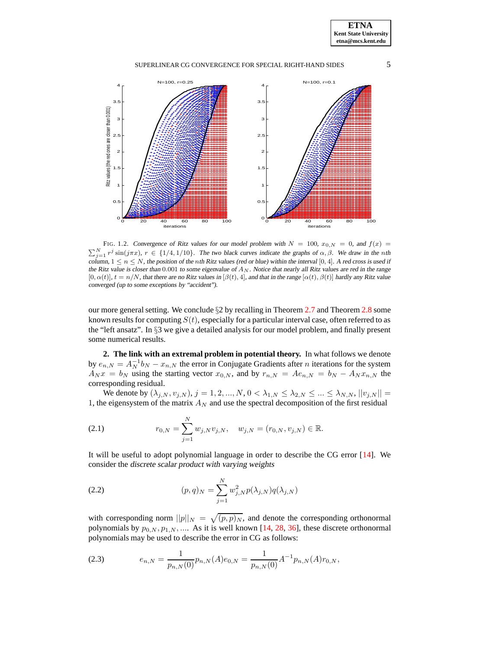

FIG. 1.2. Convergence of Ritz values for our model problem with  $N = 100$ ,  $x_{0,N} = 0$ , and  $f(x) =$  $\sum_{j=1}^{N} r^j \sin(j\pi x)$ ,  $r \in \{1/4, 1/10\}$ . The two black curves indicate the graphs of  $\alpha, \beta$ . We draw in the nth column,  $1 \le n \le N$ , the position of the nth Ritz values (red or blue) within the interval [0, 4]. A red cross is used if the Ritz value is closer than 0.001 to some eigenvalue of  $A_N$ . Notice that nearly all Ritz values are red in the range  $[0, \alpha(t)]$ ,  $t = n/N$ , that there are no Ritz values in  $[\beta(t), 4]$ , and that in the range  $[\alpha(t), \beta(t)]$  hardly any Ritz value converged (up to some exceptions by "accident").

our more general setting. We conclude  $\S2$  by recalling in Theorem [2.7](#page-10-0) and Theorem [2.8](#page-11-1) some known results for computing  $S(t)$ , especially for a particular interval case, often referred to as the "left ansatz". In  $\S$ 3 we give a detailed analysis for our model problem, and finally present some numerical results.

**2. The link with an extremal problem in potential theory.** In what follows we denote by  $e_{n,N} = A_N^{-1}b_N - x_{n,N}$  the error in Conjugate Gradients after *n* iterations for the system  $A_N x = b_N$  using the starting vector  $x_{0,N}$ , and by  $r_{n,N} = A e_{n,N} = b_N - A_N x_{n,N}$  the corresponding residual.

We denote by  $(\lambda_{j,N}, v_{j,N}), j = 1, 2, ..., N, 0 < \lambda_{1,N} \leq \lambda_{2,N} \leq ... \leq \lambda_{N,N}, ||v_{j,N}|| =$ 1, the eigensystem of the matrix  $A_N$  and use the spectral decomposition of the first residual

(2.1) 
$$
r_{0,N} = \sum_{j=1}^{N} w_{j,N} v_{j,N}, \quad w_{j,N} = (r_{0,N}, v_{j,N}) \in \mathbb{R}.
$$

It will be useful to adopt polynomial language in order to describe the CG error [\[14\]](#page-18-15). We consider the discrete scalar product with varying weights

(2.2) 
$$
(p,q)_N = \sum_{j=1}^N w_{j,N}^2 p(\lambda_{j,N}) q(\lambda_{j,N})
$$

with corresponding norm  $||p||_N = \sqrt{(p, p)_N}$ , and denote the corresponding orthonormal polynomials by  $p_{0,N}, p_{1,N}, \dots$  As it is well known [\[14,](#page-18-15) [28,](#page-18-16) [36\]](#page-18-4), these discrete orthonormal polynomials may be used to describe the error in CG as follows:

(2.3) 
$$
e_{n,N} = \frac{1}{p_{n,N}(0)} p_{n,N}(A) e_{0,N} = \frac{1}{p_{n,N}(0)} A^{-1} p_{n,N}(A) r_{0,N},
$$

**ETNA Kent State University etna@mcs.kent.edu**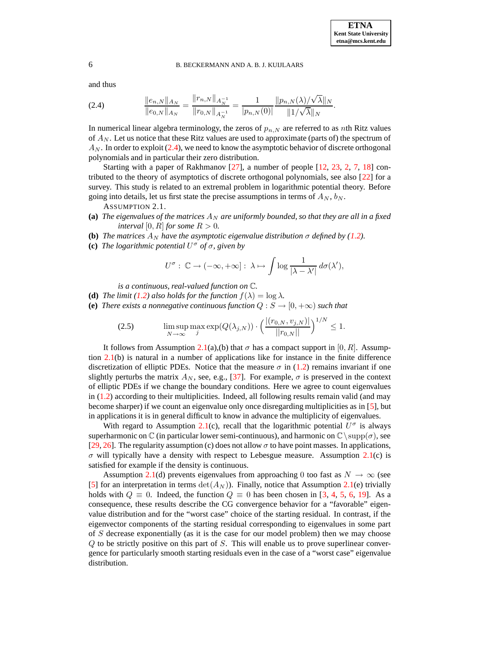and thus

<span id="page-5-0"></span>ken,NkA<sup>N</sup> ke0,N kA<sup>N</sup> = krn,N k<sup>A</sup> −1 N kr0,N k<sup>A</sup> −1 N = 1 |pn,N (0)| kpn,N (λ)/ √ λk<sup>N</sup> k1/ √ λk<sup>N</sup> (2.4) .

In numerical linear algebra terminology, the zeros of  $p_{n,N}$  are referred to as nth Ritz values of  $A_N$ . Let us notice that these Ritz values are used to approximate (parts of) the spectrum of  $A_N$ . In order to exploit [\(2.4\)](#page-5-0), we need to know the asymptotic behavior of discrete orthogonal polynomials and in particular their zero distribution.

Starting with a paper of Rakhmanov [\[27\]](#page-18-17), a number of people [\[12,](#page-18-18) [23,](#page-18-19) [2,](#page-17-6) [7,](#page-17-7) [18\]](#page-18-20) contributed to the theory of asymptotics of discrete orthogonal polynomials, see also [\[22\]](#page-18-21) for a survey. This study is related to an extremal problem in logarithmic potential theory. Before going into details, let us first state the precise assumptions in terms of  $A_N$ ,  $b_N$ .

ASSUMPTION 2.1.

- <span id="page-5-1"></span>**(a)** *The eigenvalues of the matrices*  $A_N$  *<i>are uniformly bounded, so that they are all in a fixed interval*  $[0, R]$  *for some*  $R > 0$ *.*
- **(b)** *The matrices*  $A_N$  *have the asymptotic eigenvalue distribution*  $\sigma$  *defined by* [\(1.2\)](#page-1-2)*.*
- **(c)** *The logarithmic potential* U <sup>σ</sup> *of* σ*, given by*

<span id="page-5-2"></span>
$$
U^{\sigma}:\,\mathbb{C}\rightarrow(-\infty,+\infty]:\,\lambda\mapsto\int\log\frac{1}{|\lambda-\lambda'|}\,d\sigma(\lambda'),
$$

*is a continuous, real-valued function on* C*.*

- **(d)** *The limit* [\(1.2\)](#page-1-2) also holds for the function  $f(\lambda) = \log \lambda$ .
- **(e)** *There exists a nonnegative continuous function*  $Q : S \to [0, +\infty)$  *such that*

(2.5) 
$$
\limsup_{N \to \infty} \max_{j} \exp(Q(\lambda_{j,N})) \cdot \left( \frac{|(r_{0,N}, v_{j,N})|}{||r_{0,N}||} \right)^{1/N} \le 1.
$$

It follows from Assumption [2.1\(](#page-5-1)a),(b) that  $\sigma$  has a compact support in [0, R]. Assumption  $2.1(b)$  $2.1(b)$  is natural in a number of applications like for instance in the finite difference discretization of elliptic PDEs. Notice that the measure  $\sigma$  in [\(1.2\)](#page-1-2) remains invariant if one slightly perturbs the matrix  $A_N$ , see, e.g., [\[37\]](#page-18-22). For example,  $\sigma$  is preserved in the context of elliptic PDEs if we change the boundary conditions. Here we agree to count eigenvalues in [\(1.2\)](#page-1-2) according to their multiplicities. Indeed, all following results remain valid (and may become sharper) if we count an eigenvalue only once disregarding multiplicities as in [\[5\]](#page-17-0), but in applications it is in general difficult to know in advance the multiplicity of eigenvalues.

With regard to Assumption [2.1\(](#page-5-1)c), recall that the logarithmic potential  $U^{\sigma}$  is always superharmonic on C (in particular lower semi-continuous), and harmonic on  $\mathbb{C}\setminus \text{supp}(\sigma)$ , see [\[29,](#page-18-13) [26\]](#page-18-23). The regularity assumption (c) does not allow  $\sigma$  to have point masses. In applications,  $\sigma$  will typically have a density with respect to Lebesgue measure. Assumption [2.1\(](#page-5-1)c) is satisfied for example if the density is continuous.

Assumption [2.1\(](#page-5-1)d) prevents eigenvalues from approaching 0 too fast as  $N \rightarrow \infty$  (see [\[5\]](#page-17-0) for an interpretation in terms  $\det(A_N)$ ). Finally, notice that Assumption [2.1\(](#page-5-1)e) trivially holds with  $Q \equiv 0$ . Indeed, the function  $Q \equiv 0$  has been chosen in [\[3,](#page-17-4) [4,](#page-17-3) [5,](#page-17-0) [6,](#page-17-1) [19\]](#page-18-14). As a consequence, these results describe the CG convergence behavior for a "favorable" eigenvalue distribution and for the "worst case" choice of the starting residual. In contrast, if the eigenvector components of the starting residual corresponding to eigenvalues in some part of S decrease exponentially (as it is the case for our model problem) then we may choose  $Q$  to be strictly positive on this part of  $S$ . This will enable us to prove superlinear convergence for particularly smooth starting residuals even in the case of a "worst case" eigenvalue distribution.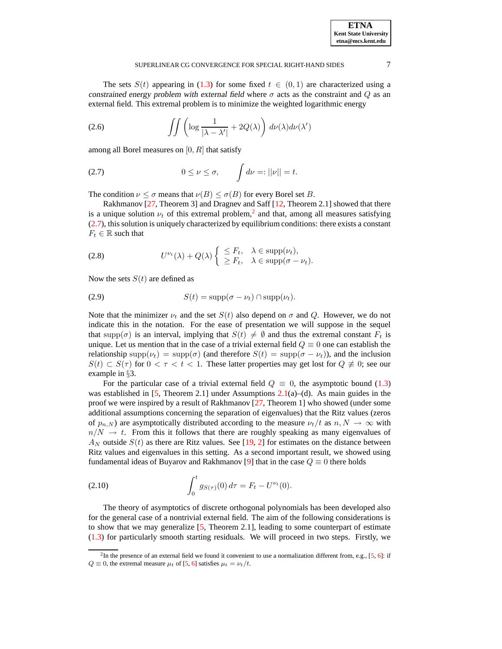| <b>ETNA</b>                  |
|------------------------------|
| <b>Kent State University</b> |
| etna@mcs.kent.edu            |

The sets  $S(t)$  appearing in [\(1.3\)](#page-1-1) for some fixed  $t \in (0,1)$  are characterized using a constrained energy problem with external field where  $\sigma$  acts as the constraint and  $Q$  as an external field. This extremal problem is to minimize the weighted logarithmic energy

(2.6) 
$$
\int \int \left( \log \frac{1}{|\lambda - \lambda'|} + 2Q(\lambda) \right) d\nu(\lambda) d\nu(\lambda')
$$

<span id="page-6-1"></span>among all Borel measures on  $[0, R]$  that satisfy

$$
(2.7) \t 0 \le \nu \le \sigma, \t \int d\nu =: ||\nu|| = t.
$$

The condition  $\nu \leq \sigma$  means that  $\nu(B) \leq \sigma(B)$  for every Borel set B.

<span id="page-6-2"></span>Rakhmanov [\[27,](#page-18-17) Theorem 3] and Dragnev and Saff [\[12,](#page-18-18) Theorem 2.1] showed that there is a unique solution  $\nu_t$  of this extremal problem,<sup>[2](#page-6-0)</sup> and that, among all measures satisfying [\(2.7\)](#page-6-1), this solution is uniquely characterized by equilibrium conditions: there exists a constant  $F_t \in \mathbb{R}$  such that

(2.8) 
$$
U^{\nu_t}(\lambda) + Q(\lambda) \left\{ \begin{array}{ll} \leq F_t, & \lambda \in \text{supp}(\nu_t), \\ \geq F_t, & \lambda \in \text{supp}(\sigma - \nu_t). \end{array} \right.
$$

<span id="page-6-3"></span>Now the sets  $S(t)$  are defined as

(2.9) 
$$
S(t) = \text{supp}(\sigma - \nu_t) \cap \text{supp}(\nu_t).
$$

Note that the minimizer  $\nu_t$  and the set  $S(t)$  also depend on  $\sigma$  and Q. However, we do not indicate this in the notation. For the ease of presentation we will suppose in the sequel that supp( $\sigma$ ) is an interval, implying that  $S(t) \neq \emptyset$  and thus the extremal constant  $F_t$  is unique. Let us mention that in the case of a trivial external field  $Q \equiv 0$  one can establish the relationship supp $(\nu_t)$  = supp $(\sigma)$  (and therefore  $S(t)$  = supp $(\sigma - \nu_t)$ ), and the inclusion  $S(t) \subset S(\tau)$  for  $0 < \tau < t < 1$ . These latter properties may get lost for  $Q \neq 0$ ; see our example in §3.

For the particular case of a trivial external field  $Q \equiv 0$ , the asymptotic bound [\(1.3\)](#page-1-1) was established in [\[5,](#page-17-0) Theorem 2.1] under Assumptions  $2.1(a)$  $2.1(a)$ –(d). As main guides in the proof we were inspired by a result of Rakhmanov  $[27,$  Theorem 1] who showed (under some additional assumptions concerning the separation of eigenvalues) that the Ritz values (zeros of  $p_{n,N}$ ) are asymptotically distributed according to the measure  $\nu_t/t$  as  $n, N \to \infty$  with  $n/N \rightarrow t$ . From this it follows that there are roughly speaking as many eigenvalues of  $A_N$  outside  $S(t)$  as there are Ritz values. See [\[19,](#page-18-14) [2\]](#page-17-6) for estimates on the distance between Ritz values and eigenvalues in this setting. As a second important result, we showed using fundamental ideas of Buyarov and Rakhmanov [\[9\]](#page-18-24) that in the case  $Q \equiv 0$  there holds

(2.10) 
$$
\int_0^t g_{S(\tau)}(0) d\tau = F_t - U^{\nu_t}(0).
$$

The theory of asymptotics of discrete orthogonal polynomials has been developed also for the general case of a nontrivial external field. The aim of the following considerations is to show that we may generalize  $[5,$  Theorem 2.1], leading to some counterpart of estimate [\(1.3\)](#page-1-1) for particularly smooth starting residuals. We will proceed in two steps. Firstly, we

<span id="page-6-0"></span><sup>&</sup>lt;sup>2</sup>In the presence of an external field we found it convenient to use a normalization different from, e.g., [\[5,](#page-17-0) [6\]](#page-17-1): if  $Q \equiv 0$ , the extremal measure  $\mu_t$  of [\[5,](#page-17-0) [6\]](#page-17-1) satisfies  $\mu_t = \nu_t/t$ .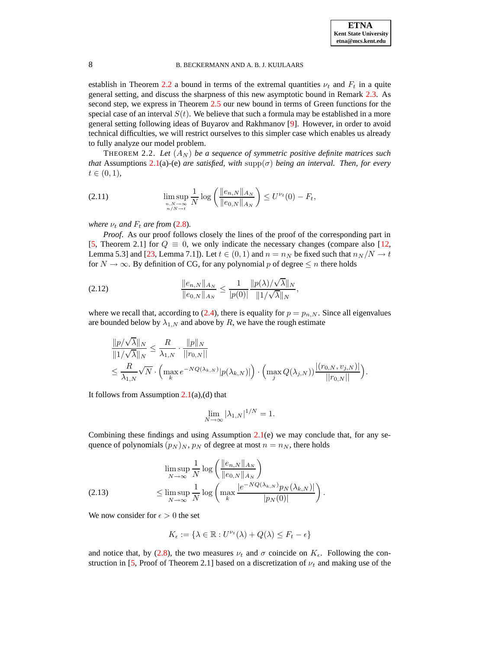establish in Theorem [2.2](#page-7-1) a bound in terms of the extremal quantities  $\nu_t$  and  $F_t$  in a quite general setting, and discuss the sharpness of this new asymptotic bound in Remark [2.3.](#page-8-1) As second step, we express in Theorem [2.5](#page-9-0) our new bound in terms of Green functions for the special case of an interval  $S(t)$ . We believe that such a formula may be established in a more general setting following ideas of Buyarov and Rakhmanov [\[9\]](#page-18-24). However, in order to avoid technical difficulties, we will restrict ourselves to this simpler case which enables us already to fully analyze our model problem.

<span id="page-7-3"></span><span id="page-7-1"></span>THEOREM 2.2. Let  $(A_N)$  be a sequence of symmetric positive definite matrices such *that* Assumptions [2.1\(](#page-5-1)a)-(e) *are satisfied, with*  $\text{supp}(\sigma)$  *being an interval. Then, for every*  $t \in (0, 1)$ ,

(2.11) 
$$
\limsup_{\substack{n,N\to\infty\\ n/N\to t}}\frac{1}{N}\log\left(\frac{\|e_{n,N}\|_{A_N}}{\|e_{0,N}\|_{A_N}}\right)\leq U^{\nu_t}(0)-F_t,
$$

*where*  $\nu_t$  *and*  $F_t$  *are from* [\(2.8\)](#page-6-2)*.* 

*Proof.* As our proof follows closely the lines of the proof of the corresponding part in [\[5,](#page-17-0) Theorem 2.1] for  $Q \equiv 0$ , we only indicate the necessary changes (compare also [\[12,](#page-18-18) Lemma 5.3] and [\[23,](#page-18-19) Lemma 7.1]). Let  $t \in (0, 1)$  and  $n = n_N$  be fixed such that  $n_N/N \to t$ for  $N \to \infty$ . By definition of CG, for any polynomial p of degree  $\leq n$  there holds

(2.12) 
$$
\frac{\|e_{n,N}\|_{A_N}}{\|e_{0,N}\|_{A_N}} \leq \frac{1}{|p(0)|} \frac{\|p(\lambda)/\sqrt{\lambda}\|_{N}}{\|1/\sqrt{\lambda}\|_{N}},
$$

where we recall that, according to [\(2.4\)](#page-5-0), there is equality for  $p = p_{n,N}$ . Since all eigenvalues are bounded below by  $\lambda_{1,N}$  and above by R, we have the rough estimate

$$
\label{eq:bound} \begin{aligned} &\frac{\|p/\sqrt{\lambda}\|_N}{\|1/\sqrt{\lambda}\|_N} \leq \frac{R}{\lambda_{1,N}} \cdot \frac{\|p\|_N}{\|r_{0,N}\|} \\ &\leq \frac{R}{\lambda_{1,N}} \sqrt{N} \cdot \Bigl( \max_k e^{-NQ(\lambda_{k,N})} |p(\lambda_{k,N})| \Bigr) \cdot \Bigl( \max_j Q(\lambda_{j,N}) \bigr) \frac{|(r_{0,N},v_{j,N})|}{\|r_{0,N}\|} \Bigr). \end{aligned}
$$

It follows from Assumption  $2.1(a)$  $2.1(a)$ , (d) that

<span id="page-7-0"></span>
$$
\lim_{N \to \infty} |\lambda_{1,N}|^{1/N} = 1.
$$

Combining these findings and using Assumption [2.1\(](#page-5-1)e) we may conclude that, for any sequence of polynomials  $(p_N)_N$ ,  $p_N$  of degree at most  $n = n_N$ , there holds

<span id="page-7-2"></span>
$$
\limsup_{N \to \infty} \frac{1}{N} \log \left( \frac{\|e_{n,N}\|_{A_N}}{\|e_{0,N}\|_{A_N}} \right)
$$
\n
$$
\leq \limsup_{N \to \infty} \frac{1}{N} \log \left( \max_{k} \frac{\left|e^{-NQ(\lambda_{k,N})} p_N(\lambda_{k,N})\right|}{|p_N(0)|} \right).
$$

We now consider for  $\epsilon > 0$  the set

$$
K_{\epsilon} := \{ \lambda \in \mathbb{R} : U^{\nu_t}(\lambda) + Q(\lambda) \leq F_t - \epsilon \}
$$

and notice that, by [\(2.8\)](#page-6-2), the two measures  $\nu_t$  and  $\sigma$  coincide on  $K_{\epsilon}$ . Following the con-struction in [\[5,](#page-17-0) Proof of Theorem 2.1] based on a discretization of  $\nu_t$  and making use of the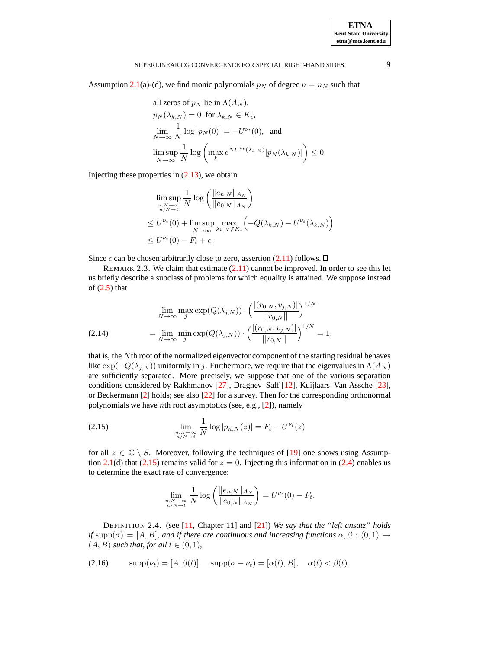Assumption [2.1\(](#page-5-1)a)-(d), we find monic polynomials  $p_N$  of degree  $n = n_N$  such that

all zeros of 
$$
p_N
$$
 lie in  $\Lambda(A_N)$ ,  
\n
$$
p_N(\lambda_{k,N}) = 0 \text{ for } \lambda_{k,N} \in K_{\epsilon},
$$
\n
$$
\lim_{N \to \infty} \frac{1}{N} \log |p_N(0)| = -U^{\nu_t}(0), \text{ and}
$$
\n
$$
\limsup_{N \to \infty} \frac{1}{N} \log \left( \max_k e^{N U^{\nu_t}(\lambda_{k,N})} |p_N(\lambda_{k,N})| \right) \le 0.
$$

Injecting these properties in  $(2.13)$ , we obtain

$$
\limsup_{\substack{n,N\to\infty\\n/N\to t}}\frac{1}{N}\log\left(\frac{\|e_{n,N}\|_{A_N}}{\|e_{0,N}\|_{A_N}}\right)
$$
\n
$$
\leq U^{\nu_t}(0) + \limsup_{N\to\infty}\max_{\lambda_{k,N}\notin K_{\epsilon}}\left(-Q(\lambda_{k,N}) - U^{\nu_t}(\lambda_{k,N})\right)
$$
\n
$$
\leq U^{\nu_t}(0) - F_t + \epsilon.
$$

<span id="page-8-1"></span>Since  $\epsilon$  can be chosen arbitrarily close to zero, assertion [\(2.11\)](#page-7-3) follows.  $\square$ 

REMARK 2.3. We claim that estimate  $(2.11)$  cannot be improved. In order to see this let us briefly describe a subclass of problems for which equality is attained. We suppose instead of [\(2.5\)](#page-5-2) that

<span id="page-8-4"></span>(2.14) 
$$
\lim_{N \to \infty} \max_{j} \exp(Q(\lambda_{j,N})) \cdot \left( \frac{|(r_{0,N}, v_{j,N})|}{||r_{0,N}||} \right)^{1/N}
$$

$$
= \lim_{N \to \infty} \min_{j} \exp(Q(\lambda_{j,N})) \cdot \left( \frac{|(r_{0,N}, v_{j,N})|}{||r_{0,N}||} \right)^{1/N} = 1,
$$

that is, the Nth root of the normalized eigenvector component of the starting residual behaves like  $\exp(-Q(\lambda_{i,N}))$  uniformly in j. Furthermore, we require that the eigenvalues in  $\Lambda(A_N)$ are sufficiently separated. More precisely, we suppose that one of the various separation conditions considered by Rakhmanov [\[27\]](#page-18-17), Dragnev–Saff [\[12\]](#page-18-18), Kuijlaars–Van Assche [\[23\]](#page-18-19), or Beckermann [\[2\]](#page-17-6) holds; see also [\[22\]](#page-18-21) for a survey. Then for the corresponding orthonormal polynomials we have nth root asymptotics (see, e.g., [\[2\]](#page-17-6)), namely

(2.15) 
$$
\lim_{\substack{n,N \to \infty \\ n/N \to t}} \frac{1}{N} \log |p_{n,N}(z)| = F_t - U^{\nu_t}(z)
$$

for all  $z \in \mathbb{C} \setminus S$ . Moreover, following the techniques of [\[19\]](#page-18-14) one shows using Assump-tion [2.1\(](#page-5-1)d) that [\(2.15\)](#page-8-2) remains valid for  $z = 0$ . Injecting this information in [\(2.4\)](#page-5-0) enables us to determine the exact rate of convergence:

<span id="page-8-3"></span><span id="page-8-2"></span>
$$
\lim_{\substack{n,N\to\infty\\n/N\to t}}\frac{1}{N}\log\left(\frac{\|e_{n,N}\|_{A_N}}{\|e_{0,N}\|_{A_N}}\right) = U^{\nu_t}(0) - F_t.
$$

<span id="page-8-0"></span>DEFINITION 2.4. (see [\[11,](#page-18-25) Chapter 11] and [\[21\]](#page-18-26)) *We say that the "left ansatz" holds if* supp $(\sigma) = [A, B]$ *, and if there are continuous and increasing functions*  $\alpha, \beta : (0, 1) \rightarrow$  $(A, B)$  *such that, for all*  $t \in (0, 1)$ *,* 

$$
(2.16) \qquad \text{supp}(\nu_t) = [A, \beta(t)], \quad \text{supp}(\sigma - \nu_t) = [\alpha(t), B], \quad \alpha(t) < \beta(t).
$$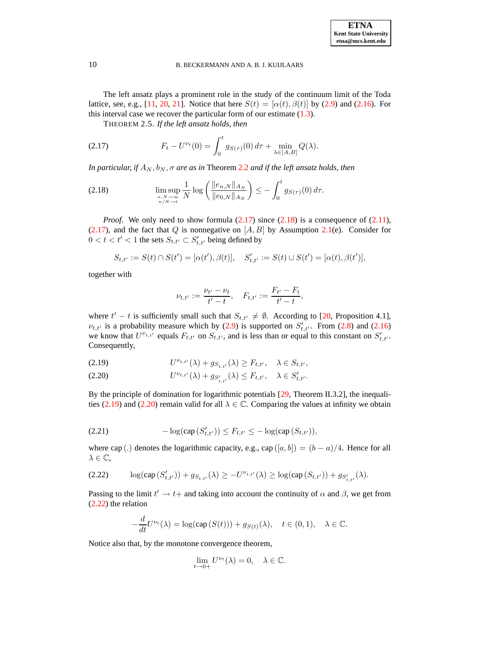<span id="page-9-0"></span>The left ansatz plays a prominent role in the study of the continuum limit of the Toda lattice, see, e.g., [\[11,](#page-18-25) [20,](#page-18-27) [21\]](#page-18-26). Notice that here  $S(t) = [\alpha(t), \beta(t)]$  by [\(2.9\)](#page-6-3) and [\(2.16\)](#page-8-3). For this interval case we recover the particular form of our estimate  $(1.3)$ .

<span id="page-9-1"></span>THEOREM 2.5. *If the left ansatz holds, then*

(2.17) 
$$
F_t - U^{\nu_t}(0) = \int_0^t g_{S(\tau)}(0) d\tau + \min_{\lambda \in [A, B]} Q(\lambda).
$$

*In particular, if*  $A_N$ ,  $b_N$ ,  $\sigma$  *are as in* Theorem [2.2](#page-7-1) *and if the left ansatz holds*, *then* 

(2.18) 
$$
\limsup_{\substack{n,N \to \infty \\ n/N \to t}} \frac{1}{N} \log \left( \frac{\|e_{n,N}\|_{A_N}}{\|e_{0,N}\|_{A_N}} \right) \leq - \int_0^t g_{S(\tau)}(0) d\tau.
$$

*Proof.* We only need to show formula  $(2.17)$  since  $(2.18)$  is a consequence of  $(2.11)$ ,  $(2.17)$ , and the fact that Q is nonnegative on  $[A, B]$  by Assumption [2.1\(](#page-5-1)e). Consider for  $0 < t < t' < 1$  the sets  $S_{t,t'} \subset S'_{t,t'}$  being defined by

$$
S_{t,t'} := S(t) \cap S(t') = [\alpha(t'), \beta(t)], \quad S'_{t,t'} := S(t) \cup S(t') = [\alpha(t), \beta(t')],
$$

together with

<span id="page-9-2"></span>
$$
\nu_{t,t'} := \frac{\nu_{t'} - \nu_t}{t'-t}, \quad F_{t,t'} := \frac{F_{t'} - F_t}{t'-t},
$$

where  $t' - t$  is sufficiently small such that  $S_{t,t'} \neq \emptyset$ . According to [\[20,](#page-18-27) Proposition 4.1],  $\nu_{t,t'}$  is a probability measure which by [\(2.9\)](#page-6-3) is supported on  $S'_{t,t'}$ . From [\(2.8\)](#page-6-2) and [\(2.16\)](#page-8-3) we know that  $U^{\nu_{t,t'}}$  equals  $F_{t,t'}$  on  $S_{t,t'}$ , and is less than or equal to this constant on  $S'_{t,t'}$ . Consequently,

<span id="page-9-3"></span>
$$
(2.19) \tU^{\nu_{t,t'}}(\lambda) + g_{S_{t,t'}}(\lambda) \ge F_{t,t'}, \quad \lambda \in S_{t,t'},
$$

(2.20) 
$$
U^{\nu_{t,t'}}(\lambda) + g_{S'_{t,t'}}(\lambda) \leq F_{t,t'}, \quad \lambda \in S'_{t,t'}.
$$

<span id="page-9-5"></span>By the principle of domination for logarithmic potentials [\[29,](#page-18-13) Theorem II.3.2], the inequali-ties [\(2.19\)](#page-9-3) and [\(2.20\)](#page-9-3) remain valid for all  $\lambda \in \mathbb{C}$ . Comparing the values at infinity we obtain

(2.21) 
$$
-\log(\text{cap}(S'_{t,t'})) \leq F_{t,t'} \leq -\log(\text{cap}(S_{t,t'})),
$$

<span id="page-9-4"></span>where cap (.) denotes the logarithmic capacity, e.g., cap  $([a, b]) = (b - a)/4$ . Hence for all  $\lambda \in \mathbb{C}$ ,

$$
(2.22) \qquad \log(\text{cap } (S'_{t,t'})) + g_{S_{t,t'}}(\lambda) \ge -U^{\nu_{t,t'}}(\lambda) \ge \log(\text{cap } (S_{t,t'})) + g_{S'_{t,t'}}(\lambda).
$$

Passing to the limit  $t' \to t+$  and taking into account the continuity of  $\alpha$  and  $\beta$ , we get from [\(2.22\)](#page-9-4) the relation

$$
-\frac{d}{dt}U^{\nu_t}(\lambda) = \log(\text{cap}(S(t))) + g_{S(t)}(\lambda), \quad t \in (0,1), \quad \lambda \in \mathbb{C}.
$$

Notice also that, by the monotone convergence theorem,

$$
\lim_{t \to 0+} U^{\nu_t}(\lambda) = 0, \quad \lambda \in \mathbb{C}.
$$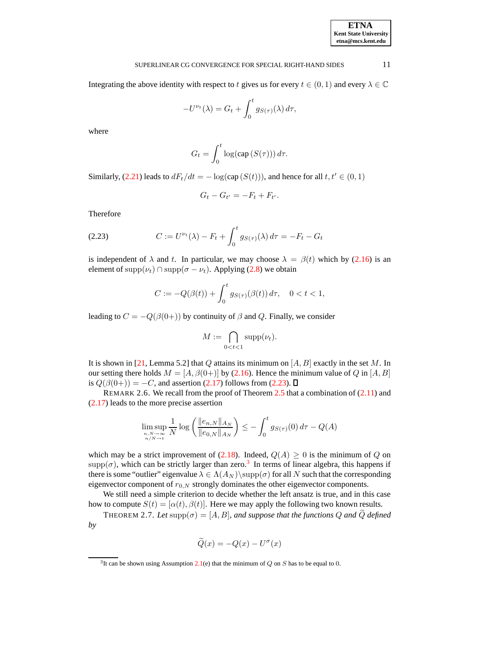Integrating the above identity with respect to t gives us for every  $t \in (0,1)$  and every  $\lambda \in \mathbb{C}$ 

$$
-U^{\nu_t}(\lambda) = G_t + \int_0^t g_{S(\tau)}(\lambda) d\tau,
$$

where

$$
G_t = \int_0^t \log(\text{cap}(S(\tau))) d\tau.
$$

Similarly, [\(2.21\)](#page-9-5) leads to  $dF_t/dt = -\log(\text{cap}(S(t)))$ , and hence for all  $t, t' \in (0, 1)$ 

$$
G_t-G_{t'}=-F_t+F_{t'}.
$$

<span id="page-10-1"></span>Therefore

(2.23) 
$$
C := U^{\nu_t}(\lambda) - F_t + \int_0^t g_{S(\tau)}(\lambda) d\tau = -F_t - G_t
$$

is independent of  $\lambda$  and t. In particular, we may choose  $\lambda = \beta(t)$  which by [\(2.16\)](#page-8-3) is an element of supp $(\nu_t) \cap \text{supp}(\sigma - \nu_t)$ . Applying [\(2.8\)](#page-6-2) we obtain

$$
C := -Q(\beta(t)) + \int_0^t g_{S(\tau)}(\beta(t)) d\tau, \quad 0 < t < 1,
$$

leading to  $C = -Q(\beta(0+))$  by continuity of  $\beta$  and Q. Finally, we consider

$$
M:=\bigcap_{0
$$

It is shown in [\[21,](#page-18-26) Lemma 5.2] that Q attains its minimum on [A, B] exactly in the set M. In our setting there holds  $M = [A, \beta(0+)]$  by [\(2.16\)](#page-8-3). Hence the minimum value of Q in [A, B] is  $Q(\beta(0+)) = -C$ , and assertion [\(2.17\)](#page-9-1) follows from [\(2.23\)](#page-10-1).  $\square$ 

REMARK 2.6. We recall from the proof of Theorem  $2.5$  that a combination of  $(2.11)$  and [\(2.17\)](#page-9-1) leads to the more precise assertion

$$
\limsup_{\substack{n,N\to\infty\\n/N\to t}}\frac{1}{N}\log\left(\frac{\|e_{n,N}\|_{A_N}}{\|e_{0,N}\|_{A_N}}\right)\leq -\int_0^t g_{S(\tau)}(0)\,d\tau - Q(A)
$$

which may be a strict improvement of [\(2.18\)](#page-9-2). Indeed,  $Q(A) \ge 0$  is the minimum of Q on  $\text{supp}(\sigma)$ , which can be strictly larger than zero.<sup>[3](#page-10-2)</sup> In terms of linear algebra, this happens if there is some "outlier" eigenvalue  $\lambda \in \Lambda(A_N) \$ supp( $\sigma$ ) for all N such that the corresponding eigenvector component of  $r_{0,N}$  strongly dominates the other eigenvector components.

We still need a simple criterion to decide whether the left ansatz is true, and in this case how to compute  $S(t) = [\alpha(t), \beta(t)]$ . Here we may apply the following two known results.

<span id="page-10-0"></span>THEOREM 2.7. Let  $\text{supp}(\sigma) = [A, B]$ , and suppose that the functions Q and Q defined *by*

$$
\widetilde{Q}(x) = -Q(x) - U^{\sigma}(x)
$$

<span id="page-10-2"></span><sup>&</sup>lt;sup>3</sup>It can be shown using Assumption [2.1\(](#page-5-1)e) that the minimum of  $Q$  on  $S$  has to be equal to 0.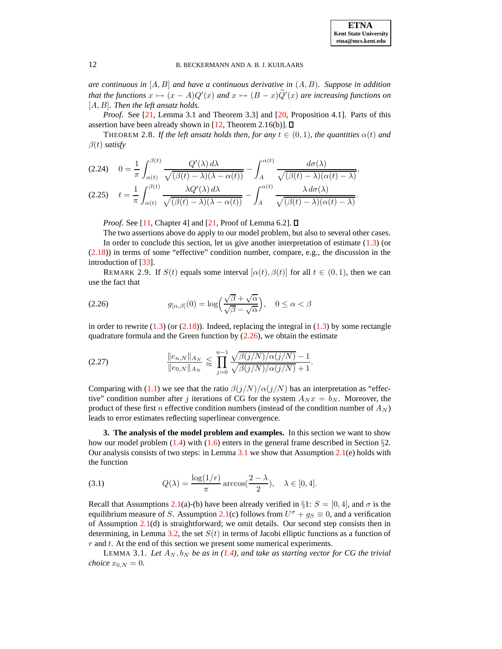*are continuous in* [A, B] *and have a continuous derivative in* (A, B)*. Suppose in addition that the functions*  $x \mapsto (x - A)Q'(x)$  *and*  $x \mapsto (B - x)\tilde{Q}'(x)$  *are increasing functions on* [A, B]*. Then the left ansatz holds.*

<span id="page-11-1"></span>*Proof.* See [\[21,](#page-18-26) Lemma 3.1 and Theorem 3.3] and [\[20,](#page-18-27) Proposition 4.1]. Parts of this assertion have been already shown in [\[12,](#page-18-18) Theorem 2.16(b)].  $\Box$ 

THEOREM 2.8. If the left ansatz holds then, for any  $t \in (0,1)$ , the quantities  $\alpha(t)$  and  $\beta(t)$  *satisfy* 

<span id="page-11-4"></span>
$$
(2.24) \quad 0 = \frac{1}{\pi} \int_{\alpha(t)}^{\beta(t)} \frac{Q'(\lambda) d\lambda}{\sqrt{(\beta(t) - \lambda)(\lambda - \alpha(t))}} - \int_{A}^{\alpha(t)} \frac{d\sigma(\lambda)}{\sqrt{(\beta(t) - \lambda)(\alpha(t) - \lambda)}},
$$
\n
$$
(2.25) \quad t = \frac{1}{\pi} \int_{\alpha(t)}^{\beta(t)} \frac{\lambda Q'(\lambda) d\lambda}{\sqrt{(\beta(t) - \lambda)(\lambda - \alpha(t))}} - \int_{A}^{\alpha(t)} \frac{\lambda d\sigma(\lambda)}{\sqrt{(\beta(t) - \lambda)(\alpha(t) - \lambda)}}.
$$

*Proof.* See [\[11,](#page-18-25) Chapter 4] and [\[21,](#page-18-26) Proof of Lemma 6.2].  $\Box$ 

The two assertions above do apply to our model problem, but also to several other cases. In order to conclude this section, let us give another interpretation of estimate [\(1.3\)](#page-1-1) (or  $(2.18)$ ) in terms of some "effective" condition number, compare, e.g., the discussion in the introduction of [\[33\]](#page-18-5).

<span id="page-11-5"></span><span id="page-11-2"></span>REMARK 2.9. If  $S(t)$  equals some interval  $[\alpha(t), \beta(t)]$  for all  $t \in (0, 1)$ , then we can use the fact that

(2.26) 
$$
g_{[\alpha,\beta]}(0) = \log\left(\frac{\sqrt{\beta} + \sqrt{\alpha}}{\sqrt{\beta} - \sqrt{\alpha}}\right), \quad 0 \le \alpha < \beta
$$

in order to rewrite  $(1.3)$  (or  $(2.18)$ ). Indeed, replacing the integral in  $(1.3)$  by some rectangle quadrature formula and the Green function by  $(2.26)$ , we obtain the estimate

(2.27) 
$$
\frac{\|e_{n,N}\|_{A_N}}{\|e_{0,N}\|_{A_N}} \lesssim \prod_{j=0}^{n-1} \frac{\sqrt{\beta(j/N)/\alpha(j/N)} - 1}{\sqrt{\beta(j/N)/\alpha(j/N)} + 1}.
$$

Comparing with [\(1.1\)](#page-0-0) we see that the ratio  $\frac{\beta(j/N)}{\alpha(j/N)}$  has an interpretation as "effective" condition number after j iterations of CG for the system  $A_N x = b_N$ . Moreover, the product of these first n effective condition numbers (instead of the condition number of  $A_N$ ) leads to error estimates reflecting superlinear convergence.

<span id="page-11-3"></span>**3. The analysis of the model problem and examples.** In this section we want to show how our model problem  $(1.4)$  with  $(1.6)$  enters in the general frame described in Section §2. Our analysis consists of two steps: in Lemma  $3.1$  we show that Assumption  $2.1(e)$  $2.1(e)$  holds with the function

(3.1) 
$$
Q(\lambda) = \frac{\log(1/r)}{\pi} \arccos(\frac{2-\lambda}{2}), \quad \lambda \in [0, 4].
$$

Recall that Assumptions [2.1\(](#page-5-1)a)-(b) have been already verified in §1:  $S = [0, 4]$ , and  $\sigma$  is the equilibrium measure of S. Assumption [2.1\(](#page-5-1)c) follows from  $U^{\sigma} + g_S \equiv 0$ , and a verification of Assumption [2.1\(](#page-5-1)d) is straightforward; we omit details. Our second step consists then in determining, in Lemma [3.2,](#page-13-0) the set  $S(t)$  in terms of Jacobi elliptic functions as a function of  $r$  and  $t$ . At the end of this section we present some numerical experiments.

<span id="page-11-0"></span>LEMMA 3.1. Let  $A_N$ ,  $b_N$  be as in [\(1.4\)](#page-2-0), and take as starting vector for CG the trivial *choice*  $x_{0,N} = 0$ *.*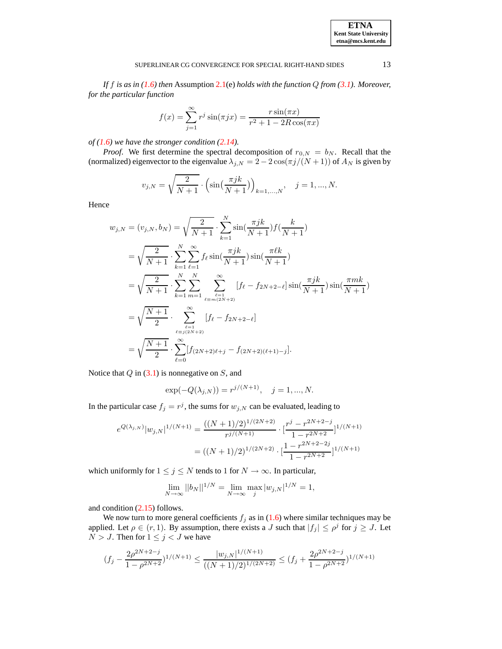*If* f *is as in [\(1.6\)](#page-2-1) then* Assumption [2.1\(](#page-5-1)e) *holds with the function* Q *from [\(3.1\)](#page-11-3). Moreover, for the particular function*

$$
f(x) = \sum_{j=1}^{\infty} r^j \sin(\pi j x) = \frac{r \sin(\pi x)}{r^2 + 1 - 2R \cos(\pi x)}
$$

*of [\(1.6\)](#page-2-1) we have the stronger condition [\(2.14\)](#page-8-4).*

*Proof.* We first determine the spectral decomposition of  $r_{0,N} = b_N$ . Recall that the (normalized) eigenvector to the eigenvalue  $\lambda_{j,N} = 2 - 2 \cos(\pi j/(N+1))$  of  $A_N$  is given by

$$
v_{j,N} = \sqrt{\frac{2}{N+1}} \cdot \left( \sin\left(\frac{\pi jk}{N+1}\right) \right)_{k=1,\dots,N}, \quad j = 1, \dots, N.
$$

Hence

$$
w_{j,N} = (v_{j,N}, b_N) = \sqrt{\frac{2}{N+1}} \cdot \sum_{k=1}^{N} \sin(\frac{\pi jk}{N+1}) f(\frac{k}{N+1})
$$
  
\n
$$
= \sqrt{\frac{2}{N+1}} \cdot \sum_{k=1}^{N} \sum_{\ell=1}^{\infty} f_{\ell} \sin(\frac{\pi jk}{N+1}) \sin(\frac{\pi \ell k}{N+1})
$$
  
\n
$$
= \sqrt{\frac{2}{N+1}} \cdot \sum_{k=1}^{N} \sum_{m=1}^{N} \sum_{\ell=1}^{\infty} [f_{\ell} - f_{2N+2-\ell}] \sin(\frac{\pi jk}{N+1}) \sin(\frac{\pi mk}{N+1})
$$
  
\n
$$
= \sqrt{\frac{N+1}{2}} \cdot \sum_{\ell=1}^{\infty} [f_{\ell} - f_{2N+2-\ell}]
$$
  
\n
$$
= \sqrt{\frac{N+1}{2}} \cdot \sum_{\ell=0}^{\infty} [f_{(2N+2)\ell+j} - f_{(2N+2)(\ell+1)-j}].
$$

Notice that  $Q$  in [\(3.1\)](#page-11-3) is nonnegative on  $S$ , and

$$
\exp(-Q(\lambda_{j,N})) = r^{j/(N+1)}, \quad j = 1, ..., N.
$$

In the particular case  $f_j = r^j$ , the sums for  $w_{j,N}$  can be evaluated, leading to

$$
e^{Q(\lambda_{j,N})}|w_{j,N}|^{1/(N+1)} = \frac{((N+1)/2)^{1/(2N+2)}}{r^{j/(N+1)}} \cdot \left[\frac{r^j - r^{2N+2-j}}{1 - r^{2N+2}}\right]^{1/(N+1)}
$$

$$
= ((N+1)/2)^{1/(2N+2)} \cdot \left[\frac{1 - r^{2N+2-j}}{1 - r^{2N+2}}\right]^{1/(N+1)}
$$

which uniformly for  $1 \le j \le N$  tends to 1 for  $N \to \infty$ . In particular,

$$
\lim_{N \to \infty} ||b_N||^{1/N} = \lim_{N \to \infty} \max_j |w_{j,N}|^{1/N} = 1,
$$

and condition [\(2.15\)](#page-8-2) follows.

We now turn to more general coefficients  $f_j$  as in [\(1.6\)](#page-2-1) where similar techniques may be applied. Let  $\rho \in (r, 1)$ . By assumption, there exists a J such that  $|f_j| \le \rho^j$  for  $j \ge J$ . Let  $N > J$ . Then for  $1 \le j < J$  we have

$$
(f_j-\frac{2\rho^{2N+2-j}}{1-\rho^{2N+2}})^{1/(N+1)}\leq \frac{|w_{j,N}|^{1/(N+1)}}{((N+1)/2)^{1/(2N+2)}}\leq (f_j+\frac{2\rho^{2N+2-j}}{1-\rho^{2N+2}})^{1/(N+1)}
$$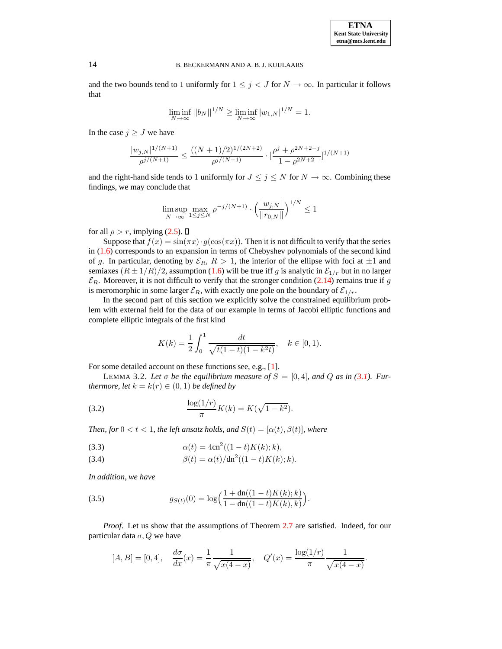and the two bounds tend to 1 uniformly for  $1 \leq j < J$  for  $N \to \infty$ . In particular it follows that

$$
\liminf_{N \to \infty} ||b_N||^{1/N} \ge \liminf_{N \to \infty} |w_{1,N}|^{1/N} = 1.
$$

In the case  $j \geq J$  we have

$$
\frac{|w_{j,N}|^{1/(N+1)}}{\rho^{j/(N+1)}} \le \frac{((N+1)/2)^{1/(2N+2)}}{\rho^{j/(N+1)}} \cdot \big[\frac{\rho^j + \rho^{2N+2-j}}{1-\rho^{2N+2}}\big]^{1/(N+1)}
$$

and the right-hand side tends to 1 uniformly for  $J \leq j \leq N$  for  $N \to \infty$ . Combining these findings, we may conclude that

$$
\limsup_{N \to \infty} \max_{1 \le j \le N} \rho^{-j/(N+1)} \cdot \left(\frac{|w_{j,N}|}{||r_{0,N}||}\right)^{1/N} \le 1
$$

for all  $\rho > r$ , implying [\(2.5\)](#page-5-2).  $\Box$ 

Suppose that  $f(x) = \sin(\pi x) \cdot g(\cos(\pi x))$ . Then it is not difficult to verify that the series in [\(1.6\)](#page-2-1) corresponds to an expansion in terms of Chebyshev polynomials of the second kind of g. In particular, denoting by  $\mathcal{E}_R$ ,  $R > 1$ , the interior of the ellipse with foci at  $\pm 1$  and semiaxes  $(R \pm 1/R)/2$ , assumption [\(1.6\)](#page-2-1) will be true iff g is analytic in  $\mathcal{E}_{1/r}$  but in no larger  $\mathcal{E}_R$ . Moreover, it is not difficult to verify that the stronger condition [\(2.14\)](#page-8-4) remains true if g is meromorphic in some larger  $\mathcal{E}_R$ , with exactly one pole on the boundary of  $\mathcal{E}_{1/r}$ .

In the second part of this section we explicitly solve the constrained equilibrium problem with external field for the data of our example in terms of Jacobi elliptic functions and complete elliptic integrals of the first kind

<span id="page-13-3"></span>
$$
K(k) = \frac{1}{2} \int_0^1 \frac{dt}{\sqrt{t(1-t)(1-k^2t)}}, \quad k \in [0,1).
$$

<span id="page-13-0"></span>For some detailed account on these functions see, e.g., [\[1\]](#page-17-8).

LEMMA 3.2. Let  $\sigma$  be the equilibrium measure of  $S = [0, 4]$ , and Q as in [\(3.1\)](#page-11-3). Fur*thermore, let*  $k = k(r) \in (0, 1)$  *be defined by* 

(3.2) 
$$
\frac{\log(1/r)}{\pi}K(k) = K(\sqrt{1-k^2}).
$$

*Then, for*  $0 < t < 1$ *, the left ansatz holds, and*  $S(t) = [\alpha(t), \beta(t)]$ *, where* 

<span id="page-13-1"></span>(3.3) 
$$
\alpha(t) = 4cn^2((1-t)K(k);k),
$$

(3.4) 
$$
\beta(t) = \alpha(t)/dn^2((1-t)K(k);k).
$$

*In addition, we have*

<span id="page-13-2"></span>(3.5) 
$$
g_{S(t)}(0) = \log\left(\frac{1 + \text{dn}((1-t)K(k);k)}{1 - \text{dn}((1-t)K(k),k)}\right).
$$

*Proof*. Let us show that the assumptions of Theorem [2.7](#page-10-0) are satisfied. Indeed, for our particular data  $\sigma$ , Q we have

$$
[A, B] = [0, 4], \quad \frac{d\sigma}{dx}(x) = \frac{1}{\pi} \frac{1}{\sqrt{x(4-x)}}, \quad Q'(x) = \frac{\log(1/r)}{\pi} \frac{1}{\sqrt{x(4-x)}}.
$$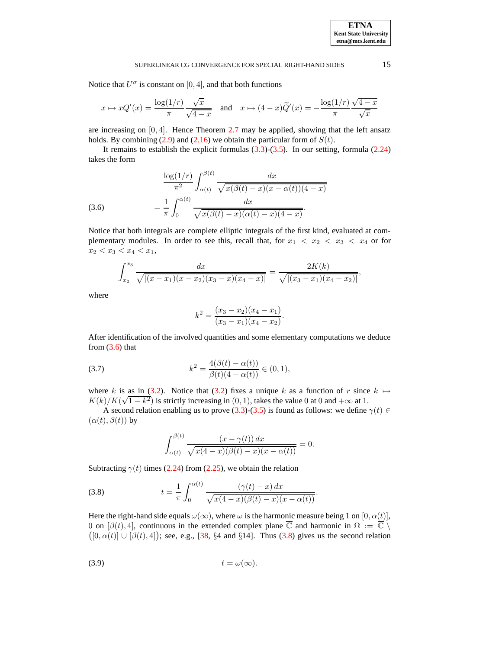Notice that  $U^{\sigma}$  is constant on [0, 4], and that both functions

$$
x \mapsto xQ'(x) = \frac{\log(1/r)}{\pi} \frac{\sqrt{x}}{\sqrt{4-x}} \quad \text{and} \quad x \mapsto (4-x)\tilde{Q}'(x) = -\frac{\log(1/r)}{\pi} \frac{\sqrt{4-x}}{\sqrt{x}}
$$

are increasing on  $[0, 4]$ . Hence Theorem [2.7](#page-10-0) may be applied, showing that the left ansatz holds. By combining  $(2.9)$  and  $(2.16)$  we obtain the particular form of  $S(t)$ .

It remains to establish the explicit formulas  $(3.3)-(3.5)$  $(3.3)-(3.5)$  $(3.3)-(3.5)$ . In our setting, formula  $(2.24)$ takes the form

<span id="page-14-0"></span>(3.6) 
$$
\frac{\log(1/r)}{\pi^2} \int_{\alpha(t)}^{\beta(t)} \frac{dx}{\sqrt{x(\beta(t) - x)(x - \alpha(t))(4 - x)}}
$$

$$
= \frac{1}{\pi} \int_0^{\alpha(t)} \frac{dx}{\sqrt{x(\beta(t) - x)(\alpha(t) - x)(4 - x)}}.
$$

Notice that both integrals are complete elliptic integrals of the first kind, evaluated at complementary modules. In order to see this, recall that, for  $x_1 < x_2 < x_3 < x_4$  or for  $x_2 < x_3 < x_4 < x_1$ ,

$$
\int_{x_2}^{x_3} \frac{dx}{\sqrt{|(x-x_1)(x-x_2)(x_3-x)(x_4-x)|}} = \frac{2K(k)}{\sqrt{|(x_3-x_1)(x_4-x_2)|}},
$$

where

$$
k^{2} = \frac{(x_{3} - x_{2})(x_{4} - x_{1})}{(x_{3} - x_{1})(x_{4} - x_{2})}.
$$

<span id="page-14-3"></span>After identification of the involved quantities and some elementary computations we deduce from  $(3.6)$  that

(3.7) 
$$
k^2 = \frac{4(\beta(t) - \alpha(t))}{\beta(t)(4 - \alpha(t))} \in (0, 1),
$$

where k is as in [\(3.2\)](#page-13-3). Notice that (3.2) fixes a unique k as a function of r since  $k \mapsto$  $K(k)/K(\sqrt{1-k^2})$  is strictly increasing in (0, 1), takes the value 0 at 0 and + $\infty$  at 1.

A second relation enabling us to prove [\(3.3\)](#page-13-1)-[\(3.5\)](#page-13-2) is found as follows: we define  $\gamma(t) \in$  $(\alpha(t), \beta(t))$  by

<span id="page-14-1"></span>
$$
\int_{\alpha(t)}^{\beta(t)} \frac{(x-\gamma(t)) dx}{\sqrt{x(4-x)(\beta(t)-x)(x-\alpha(t))}} = 0.
$$

Subtracting  $\gamma(t)$  times [\(2.24\)](#page-11-4) from [\(2.25\)](#page-11-4), we obtain the relation

(3.8) 
$$
t = \frac{1}{\pi} \int_0^{\alpha(t)} \frac{(\gamma(t) - x) dx}{\sqrt{x(4 - x)(\beta(t) - x)(x - \alpha(t))}}.
$$

<span id="page-14-2"></span>Here the right-hand side equals  $\omega(\infty)$ , where  $\omega$  is the harmonic measure being 1 on [0,  $\alpha(t)$ ], 0 on  $[\beta(t), 4]$ , continuous in the extended complex plane  $\overline{\mathbb{C}}$  and harmonic in  $\Omega := \overline{\mathbb{C}} \setminus$  $([0, \alpha(t)] \cup [\beta(t), 4])$ ; see, e.g., [\[38,](#page-18-28) §4 and §14]. Thus [\(3.8\)](#page-14-1) gives us the second relation

$$
(3.9) \t t = \omega(\infty).
$$

**ETNA Kent State University etna@mcs.kent.edu**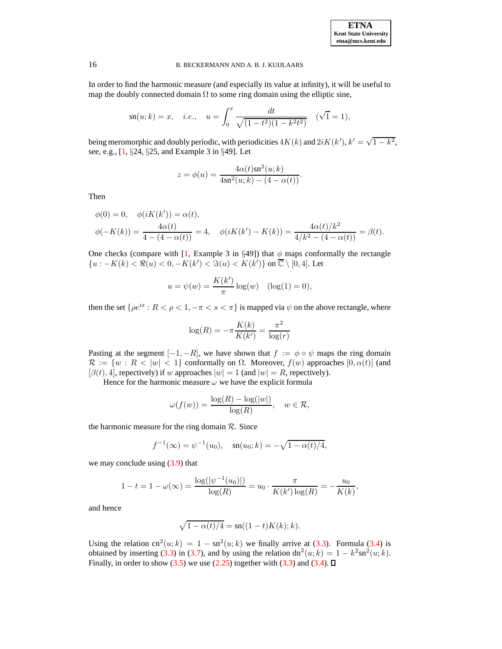In order to find the harmonic measure (and especially its value at infinity), it will be useful to map the doubly connected domain  $\Omega$  to some ring domain using the elliptic sine,

$$
\operatorname{sn}(u; k) = x
$$
, *i.e.*,  $u = \int_0^x \frac{dt}{\sqrt{(1 - t^2)(1 - k^2 t^2)}}$  ( $\sqrt{1} = 1$ ),

being meromorphic and doubly periodic, with periodicities  $4K(k)$  and  $2iK(k')$ ,  $k' = \sqrt{1 - k^2}$ , see, e.g., [\[1,](#page-17-8) §24, §25, and Example 3 in §49]. Let

$$
z = \phi(u) = \frac{4\alpha(t)\text{sn}^2(u;k)}{4\text{sn}^2(u;k) - (4 - \alpha(t))}.
$$

Then

$$
\phi(0) = 0, \quad \phi(iK(k')) = \alpha(t),
$$
  

$$
\phi(-K(k)) = \frac{4\alpha(t)}{4 - (4 - \alpha(t))} = 4, \quad \phi(iK(k') - K(k)) = \frac{4\alpha(t)/k^2}{4/k^2 - (4 - \alpha(t))} = \beta(t).
$$

One checks (compare with [\[1,](#page-17-8) Example 3 in §49]) that  $\phi$  maps conformally the rectangle { $u: -K(k) < \Re(u) < 0, -K(k') < \Im(u) < K(k')$ } on  $\overline{\mathbb{C}} \setminus [0, 4]$ . Let

$$
u = \psi(w) = \frac{K(k')}{\pi} \log(w) \quad (\log(1) = 0),
$$

then the set  $\{\rho e^{is}: R < \rho < 1, -\pi < s < \pi\}$  is mapped via  $\psi$  on the above rectangle, where

$$
\log(R) = -\pi \frac{K(k)}{K(k')} = \frac{\pi^2}{\log(r)}
$$

Pasting at the segment  $[-1, -R]$ , we have shown that  $f := \phi \circ \psi$  maps the ring domain  $\mathcal{R} := \{w : R < |w| < 1\}$  conformally on  $\Omega$ . Moreover,  $f(w)$  approaches  $[0, \alpha(t)]$  (and  $[\beta(t), 4]$ , repectively) if w approaches  $|w| = 1$  (and  $|w| = R$ , repectively).

Hence for the harmonic measure  $\omega$  we have the explicit formula

$$
\omega(f(w)) = \frac{\log(R) - \log(|w|)}{\log(R)}, \quad w \in \mathcal{R},
$$

the harmonic measure for the ring domain  $R$ . Since

$$
f^{-1}(\infty) = \psi^{-1}(u_0), \quad \text{sn}(u_0; k) = -\sqrt{1 - \alpha(t)/4},
$$

we may conclude using  $(3.9)$  that

$$
1 - t = 1 - \omega(\infty) = \frac{\log(|\psi^{-1}(u_0)|)}{\log(R)} = u_0 \cdot \frac{\pi}{K(k')\log(R)} = -\frac{u_0}{K(k)},
$$

and hence

$$
\sqrt{1 - \alpha(t)/4} = \operatorname{sn}((1 - t)K(k); k).
$$

Using the relation cn<sup>2</sup>(*u*; *k*) = 1 – sn<sup>2</sup>(*u*; *k*) we finally arrive at [\(3.3\)](#page-13-1). Formula [\(3.4\)](#page-13-1) is obtained by inserting [\(3.3\)](#page-13-1) in [\(3.7\)](#page-14-3), and by using the relation  $dn^2(u; k) = 1 - k^2 \text{sn}^2(u; k)$ . Finally, in order to show [\(3.5\)](#page-13-2) we use [\(2.25\)](#page-11-4) together with [\(3.3\)](#page-13-1) and [\(3.4\)](#page-13-1).  $\Box$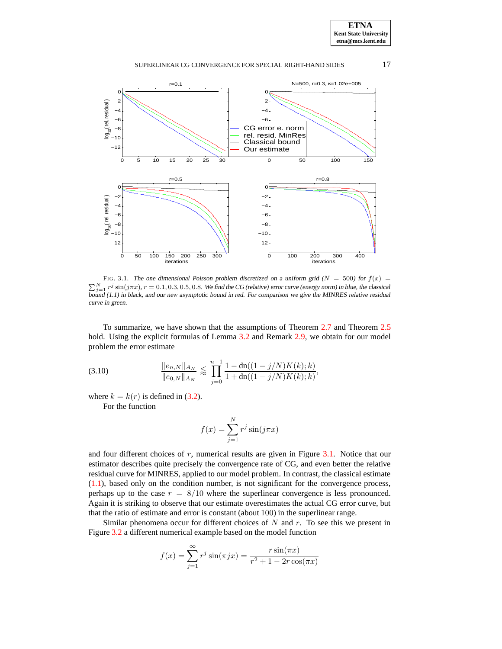**ETNA Kent State University etna@mcs.kent.edu**

#### SUPERLINEAR CG CONVERGENCE FOR SPECIAL RIGHT-HAND SIDES 17



<span id="page-16-0"></span>FIG. 3.1. The one dimensional Poisson problem discretized on a uniform grid ( $N = 500$ ) for  $f(x) =$  $\sum_{j=1}^{N} r^j \sin(j\pi x)$ ,  $r = 0.1, 0.3, 0.5, 0.8$ . We find the CG (relative) error curve (energy norm) in blue, the classical bound (1.1) in black, and our new asymptotic bound in red. For comparison we give the MINRES relative residual curve in green.

To summarize, we have shown that the assumptions of Theorem [2.7](#page-10-0) and Theorem [2.5](#page-9-0) hold. Using the explicit formulas of Lemma [3.2](#page-13-0) and Remark [2.9,](#page-11-5) we obtain for our model problem the error estimate

(3.10) 
$$
\frac{\|e_{n,N}\|_{A_N}}{\|e_{0,N}\|_{A_N}} \lesssim \prod_{j=0}^{n-1} \frac{1 - \text{dn}((1-j/N)K(k);k)}{1 + \text{dn}((1-j/N)K(k);k)},
$$

where  $k = k(r)$  is defined in [\(3.2\)](#page-13-3).

For the function

$$
f(x) = \sum_{j=1}^{N} r^j \sin(j\pi x)
$$

and four different choices of  $r$ , numerical results are given in Figure [3.1.](#page-16-0) Notice that our estimator describes quite precisely the convergence rate of CG, and even better the relative residual curve for MINRES, applied to our model problem. In contrast, the classical estimate [\(1.1\)](#page-0-0), based only on the condition number, is not significant for the convergence process, perhaps up to the case  $r = 8/10$  where the superlinear convergence is less pronounced. Again it is striking to observe that our estimate overestimates the actual CG error curve, but that the ratio of estimate and error is constant (about 100) in the superlinear range.

Similar phenomena occur for different choices of  $N$  and  $r$ . To see this we present in Figure [3.2](#page-17-5) a different numerical example based on the model function

$$
f(x) = \sum_{j=1}^{\infty} r^{j} \sin(\pi j x) = \frac{r \sin(\pi x)}{r^{2} + 1 - 2r \cos(\pi x)}
$$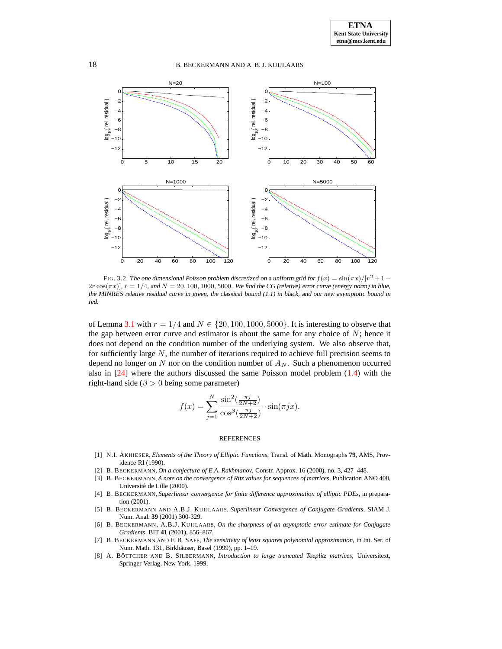

<span id="page-17-5"></span>FIG. 3.2. The one dimensional Poisson problem discretized on a uniform grid for  $f(x) = \frac{\sin(\pi x)}{ |x^2 + 1 - x^2|}$  $2r \cos(\pi x)$ ,  $r = 1/4$ , and  $N = 20, 100, 1000, 5000$ . We find the CG (relative) error curve (energy norm) in blue, the MINRES relative residual curve in green, the classical bound (1.1) in black, and our new asymptotic bound in red.

of Lemma [3.1](#page-11-0) with  $r = 1/4$  and  $N \in \{20, 100, 1000, 5000\}$ . It is interesting to observe that the gap between error curve and estimator is about the same for any choice of  $N$ ; hence it does not depend on the condition number of the underlying system. We also observe that, for sufficiently large  $N$ , the number of iterations required to achieve full precision seems to depend no longer on N nor on the condition number of  $A_N$ . Such a phenomenon occurred also in [\[24\]](#page-18-29) where the authors discussed the same Poisson model problem [\(1.4\)](#page-2-0) with the right-hand side ( $\beta > 0$  being some parameter)

$$
f(x) = \sum_{j=1}^{N} \frac{\sin^2(\frac{\pi j}{2N+2})}{\cos^{\beta}(\frac{\pi j}{2N+2})} \cdot \sin(\pi jx).
$$

#### REFERENCES

- <span id="page-17-8"></span>[1] N.I. AKHIESER, *Elements of the Theory of Elliptic Functions*, Transl. of Math. Monographs **79**, AMS, Providence RI (1990).
- <span id="page-17-6"></span><span id="page-17-4"></span>[2] B. BECKERMANN, *On a conjecture of E.A. Rakhmanov*, Constr. Approx. 16 (2000), no. 3, 427–448.
- [3] B. BECKERMANN, *A note on the convergence of Ritz values for sequences of matrices*, Publication ANO 408, Université de Lille (2000).
- <span id="page-17-3"></span>[4] B. BECKERMANN, *Superlinear convergence for finite difference approximation of elliptic PDEs*, in preparation (2001).
- <span id="page-17-0"></span>[5] B. BECKERMANN AND A.B.J. KUIJLAARS, *Superlinear Convergence of Conjugate Gradients*, SIAM J. Num. Anal. **39** (2001) 300-329.
- <span id="page-17-1"></span>[6] B. BECKERMANN, A.B.J. KUIJLAARS, *On the sharpness of an asymptotic error estimate for Conjugate Gradients*, BIT **41** (2001), 856–867.
- <span id="page-17-7"></span>[7] B. BECKERMANN AND E.B. SAFF, *The sensitivity of least squares polynomial approximation*, in Int. Ser. of Num. Math. 131, Birkhäuser, Basel (1999), pp. 1-19.
- <span id="page-17-2"></span>[8] A. BO¨ TTCHER AND B. SILBERMANN, *Introduction to large truncated Toeplitz matrices*, Universitext, Springer Verlag, New York, 1999.